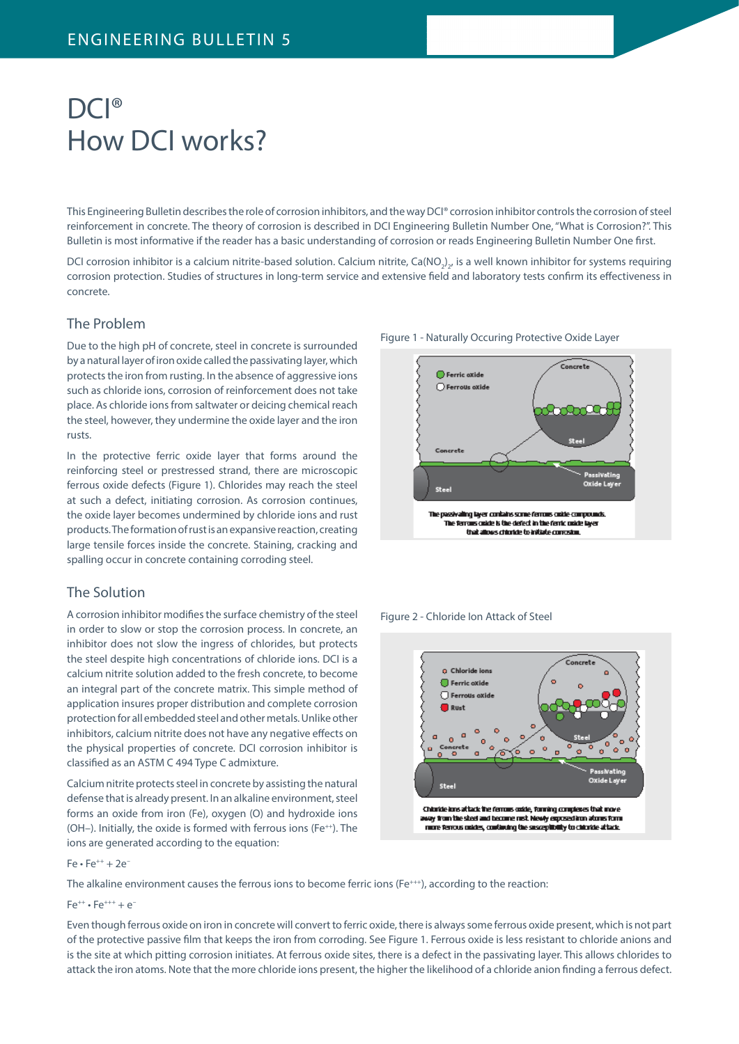# DCI<sup>®</sup> How DCI works?

This Engineering Bulletin describes the role of corrosion inhibitors, and the way DCI® corrosion inhibitor controls the corrosion of steel reinforcement in concrete. The theory of corrosion is described in DCI Engineering Bulletin Number One, "What is Corrosion?". This Bulletin is most informative if the reader has a basic understanding of corrosion or reads Engineering Bulletin Number One first.

DCI corrosion inhibitor is a calcium nitrite-based solution. Calcium nitrite, Ca(NO<sub>2</sub>)<sub>2</sub>, is a well known inhibitor for systems requiring corrosion protection. Studies of structures in long-term service and extensive field and laboratory tests confirm its effectiveness in concrete.

#### The Problem

Due to the high pH of concrete, steel in concrete is surrounded by a natural layer of iron oxide called the passivating layer, which protects the iron from rusting. In the absence of aggressive ions such as chloride ions, corrosion of reinforcement does not take place. As chloride ions from saltwater or deicing chemical reach the steel, however, they undermine the oxide layer and the iron rusts.

In the protective ferric oxide layer that forms around the reinforcing steel or prestressed strand, there are microscopic ferrous oxide defects (Figure 1). Chlorides may reach the steel at such a defect, initiating corrosion. As corrosion continues, the oxide layer becomes undermined by chloride ions and rust products. The formation of rust is an expansive reaction, creating large tensile forces inside the concrete. Staining, cracking and spalling occur in concrete containing corroding steel.

## The Solution

A corrosion inhibitor modifies the surface chemistry of the steel in order to slow or stop the corrosion process. In concrete, an inhibitor does not slow the ingress of chlorides, but protects the steel despite high concentrations of chloride ions. DCI is a calcium nitrite solution added to the fresh concrete, to become an integral part of the concrete matrix. This simple method of application insures proper distribution and complete corrosion protection for all embedded steel and other metals. Unlike other inhibitors, calcium nitrite does not have any negative effects on the physical properties of concrete. DCI corrosion inhibitor is classified as an ASTM C 494 Type C admixture.

Calcium nitrite protects steel in concrete by assisting the natural defense that is already present. In an alkaline environment, steel forms an oxide from iron (Fe), oxygen (O) and hydroxide ions ( $OH$ –). Initially, the oxide is formed with ferrous ions ( $Fe$ <sup>++</sup>). The ions are generated according to the equation:

Figure 1 - Naturally Occuring Protective Oxide Layer



Figure 2 - Chloride Ion Attack of Steel



 $Fe • Fe^{++} + 2e^{+}$ 

The alkaline environment causes the ferrous ions to become ferric ions (Fe<sup>+++</sup>), according to the reaction:

 $Fe^{++} \cdot Fe^{+++} + e^{-}$ 

Even though ferrous oxide on iron in concrete will convert to ferric oxide, there is always some ferrous oxide present, which is not part of the protective passive film that keeps the iron from corroding. See Figure 1. Ferrous oxide is less resistant to chloride anions and is the site at which pitting corrosion initiates. At ferrous oxide sites, there is a defect in the passivating layer. This allows chlorides to attack the iron atoms. Note that the more chloride ions present, the higher the likelihood of a chloride anion finding a ferrous defect.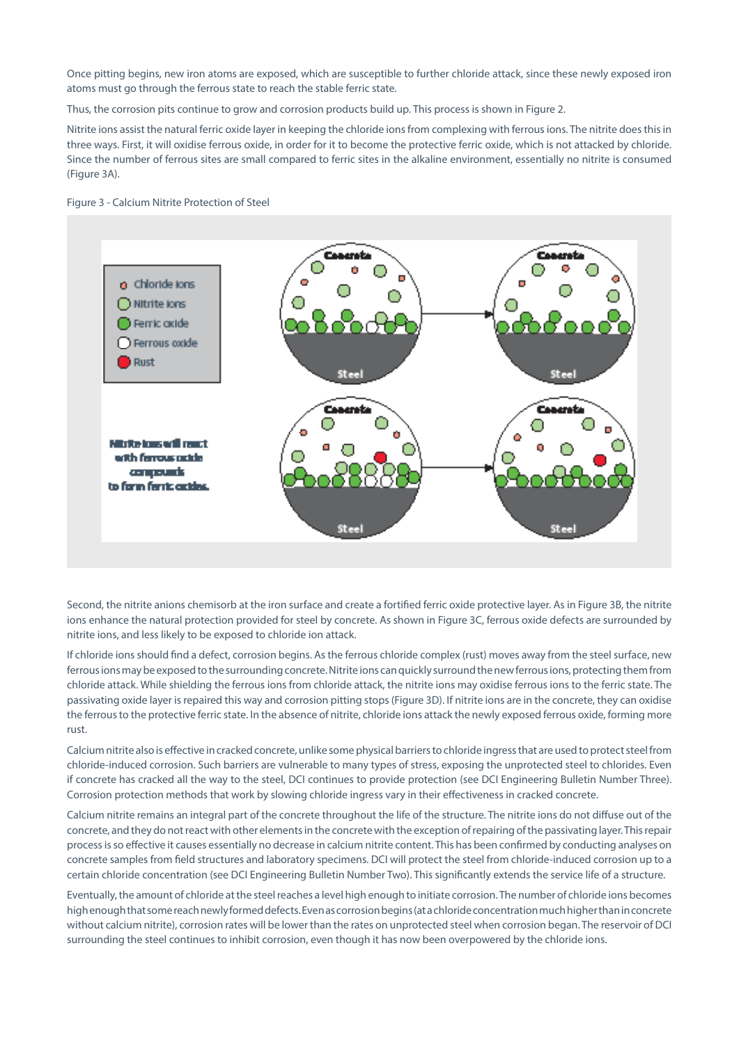Once pitting begins, new iron atoms are exposed, which are susceptible to further chloride attack, since these newly exposed iron atoms must go through the ferrous state to reach the stable ferric state.

Thus, the corrosion pits continue to grow and corrosion products build up. This process is shown in Figure 2.

Nitrite ions assist the natural ferric oxide layer in keeping the chloride ions from complexing with ferrous ions. The nitrite does this in three ways. First, it will oxidise ferrous oxide, in order for it to become the protective ferric oxide, which is not attacked by chloride. Since the number of ferrous sites are small compared to ferric sites in the alkaline environment, essentially no nitrite is consumed (Figure 3A).





Second, the nitrite anions chemisorb at the iron surface and create a fortified ferric oxide protective layer. As in Figure 3B, the nitrite ions enhance the natural protection provided for steel by concrete. As shown in Figure 3C, ferrous oxide defects are surrounded by nitrite ions, and less likely to be exposed to chloride ion attack.

If chloride ions should find a defect, corrosion begins. As the ferrous chloride complex (rust) moves away from the steel surface, new ferrous ions may be exposed to the surrounding concrete. Nitrite ions can quickly surround the new ferrous ions, protecting them from chloride attack. While shielding the ferrous ions from chloride attack, the nitrite ions may oxidise ferrous ions to the ferric state. The passivating oxide layer is repaired this way and corrosion pitting stops (Figure 3D). If nitrite ions are in the concrete, they can oxidise the ferrous to the protective ferric state. In the absence of nitrite, chloride ions attack the newly exposed ferrous oxide, forming more rust.

Calcium nitrite also is effective in cracked concrete, unlike some physical barriers to chloride ingress that are used to protect steel from chloride-induced corrosion. Such barriers are vulnerable to many types of stress, exposing the unprotected steel to chlorides. Even if concrete has cracked all the way to the steel, DCI continues to provide protection (see DCI Engineering Bulletin Number Three). Corrosion protection methods that work by slowing chloride ingress vary in their effectiveness in cracked concrete.

Calcium nitrite remains an integral part of the concrete throughout the life of the structure. The nitrite ions do not diffuse out of the concrete, and they do not react with other elements in the concrete with the exception of repairing of the passivating layer. This repair process is so effective it causes essentially no decrease in calcium nitrite content. This has been confirmed by conducting analyses on concrete samples from field structures and laboratory specimens. DCI will protect the steel from chloride-induced corrosion up to a certain chloride concentration (see DCI Engineering Bulletin Number Two). This significantly extends the service life of a structure.

Eventually, the amount of chloride at the steel reaches a level high enough to initiate corrosion. The number of chloride ions becomes high enough that some reach newly formed defects. Even as corrosion begins (at a chloride concentration much higher than in concrete without calcium nitrite), corrosion rates will be lower than the rates on unprotected steel when corrosion began. The reservoir of DCI surrounding the steel continues to inhibit corrosion, even though it has now been overpowered by the chloride ions.